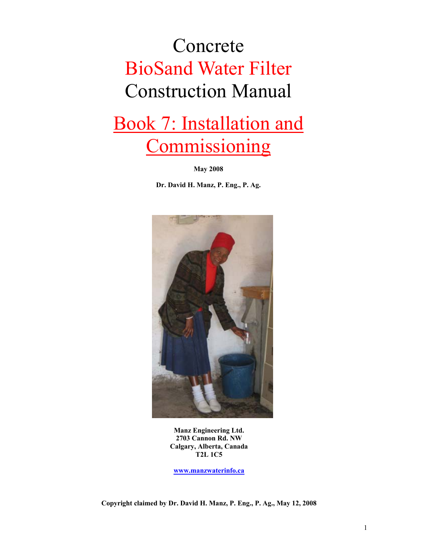# Concrete BioSand Water Filter Construction Manual

# Book 7: Installation and **Commissioning**

**May 2008** 

**Dr. David H. Manz, P. Eng., P. Ag.** 



**Manz Engineering Ltd. 2703 Cannon Rd. NW Calgary, Alberta, Canada T2L 1C5** 

**www.manzwaterinfo.ca**

**Copyright claimed by Dr. David H. Manz, P. Eng., P. Ag., May 12, 2008**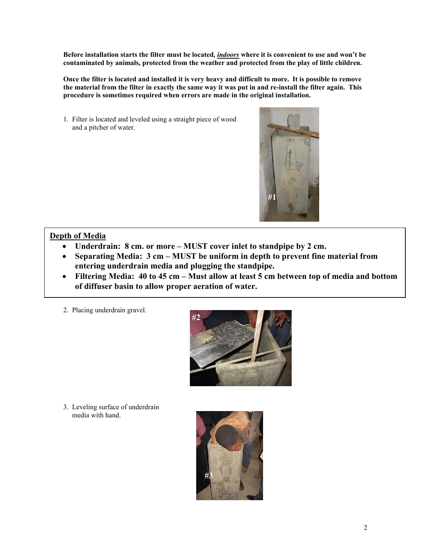**Before installation starts the filter must be located***, indoors* **where it is convenient to use and won't be contaminated by animals, protected from the weather and protected from the play of little children.** 

**Once the filter is located and installed it is very heavy and difficult to more. It is possible to remove the material from the filter in exactly the same way it was put in and re-install the filter again. This procedure is sometimes required when errors are made in the original installation.**

1. Filter is located and leveled using a straight piece of wood and a pitcher of water.



## **Depth of Media**

- **Underdrain: 8 cm. or more MUST cover inlet to standpipe by 2 cm.**
- **Separating Media: 3 cm MUST be uniform in depth to prevent fine material from entering underdrain media and plugging the standpipe.**
- **Filtering Media: 40 to 45 cm Must allow at least 5 cm between top of media and bottom of diffuser basin to allow proper aeration of water.**
- 2. Placing underdrain gravel.



3. Leveling surface of underdrain media with hand.

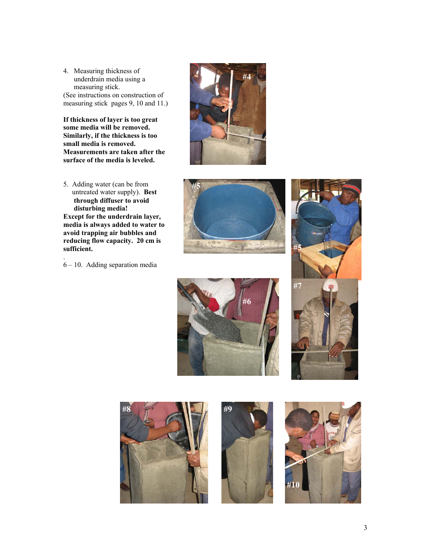4. Measuring thickness of underdrain media using a measuring stick.

(See instructions on construction of measuring stick pages 9, 10 and 11.)

**If thickness of layer is too great some media will be removed. Similarly, if the thickness is too small media is removed. Measurements are taken after the surface of the media is leveled.** 

5. Adding water (can be from untreated water supply). **Best through diffuser to avoid disturbing media! Except for the underdrain layer, media is always added to water to avoid trapping air bubbles and reducing flow capacity. 20 cm is sufficient.** 

. 6 – 10. Adding separation media









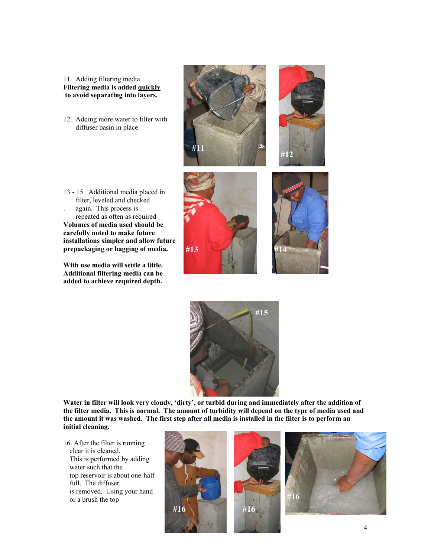#### 11. Adding filtering media. **Filtering media is added quickly to avoid separating into layers.**

12. Adding more water to filter with diffuser basin in place.









13 - 15. Additional media placed in filter, leveled and checked again. This process is repeated as often as required **Volumes of media used should be carefully noted to make future installations simpler and allow future prepackaging or bagging of media.** 

**With use media will settle a little. Additional filtering media can be added to achieve required depth.** 



**Water in filter will look very cloudy, 'dirty', or turbid during and immediately after the addition of the filter media. This is normal. The amount of turbidity will depend on the type of media used and the amount it was washed. The first step after all media is installed in the filter is to perform an initial cleaning.**

16. After the filter is running clear it is cleaned. This is performed by adding water such that the top reservoir is about one-half full. The diffuser is removed. Using your hand or a brush the top

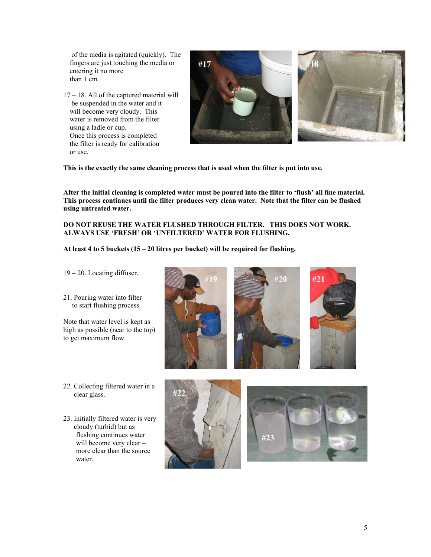of the media is agitated (quickly). The fingers are just touching the media or entering it no more than 1 cm.

17 – 18. All of the captured material will be suspended in the water and it will become very cloudy. This water is removed from the filter using a ladle or cup. Once this process is completed the filter is ready for calibration or use.



**This is the exactly the same cleaning process that is used when the filter is put into use.** 

**After the initial cleaning is completed water must be poured into the filter to 'flush' all fine material. This process continues until the filter produces very clean water. Note that the filter can be flushed using untreated water.** 

**#19 #20 #21** 

**DO NOT REUSE THE WATER FLUSHED THROUGH FILTER. THIS DOES NOT WORK. ALWAYS USE 'FRESH' OR 'UNFILTERED' WATER FOR FLUSHING.** 

**At least 4 to 5 buckets (15 – 20 litres per bucket) will be required for flushing.** 

- 19 20. Locating diffuser.
- 21. Pouring water into filter to start flushing process.

Note that water level is kept as high as possible (near to the top) to get maximum flow.

- 22. Collecting filtered water in a clear glass.
- 23. Initially filtered water is very cloudy (turbid) but as flushing continues water will become very clear – more clear than the source water.



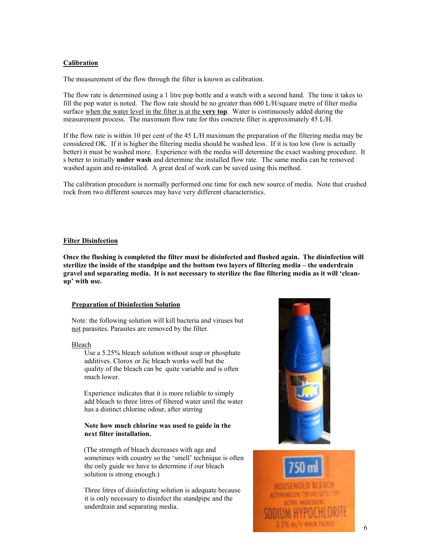#### **Calibration**

The measurement of the flow through the filter is known as calibration.

The flow rate is determined using a 1 litre pop bottle and a watch with a second hand. The time it takes to fill the pop water is noted. The flow rate should be no greater than 600 L/H/square metre of filter media surface when the water level in the filter is at the **very top**. Water is continuously added during the measurement process. The maximum flow rate for this concrete filter is approximately 45 L/H.

If the flow rate is within 10 per cent of the 45 L/H maximum the preparation of the filtering media may be considered OK. If it is higher the filtering media should be washed less. If it is too low (low is actually better) it must be washed more. Experience with the media will determine the exact washing procedure. It s better to initially **under wash** and determine the installed flow rate. The same media can be removed washed again and re-installed. A great deal of work can be saved using this method.

The calibration procedure is normally performed one time for each new source of media. Note that crushed rock from two different sources may have very different characteristics.

#### **Filter Disinfection**

**Once the flushing is completed the filter must be disinfected and flushed again. The disinfection will sterilize the inside of the standpipe and the bottom two layers of filtering media – the underdrain gravel and separating media. It is not necessary to sterilize the fine filtering media as it will 'cleanup' with use.**

#### **Preparation of Disinfection Solution**

Note: the following solution will kill bacteria and viruses but not parasites. Parasites are removed by the filter.

#### Bleach

 Use a 5.25% bleach solution without soap or phosphate additives. Clorox or Jic bleach works well but the quality of the bleach can be quite variable and is often much lower.

 Experience indicates that it is more reliable to simply add bleach to three litres of filtered water until the water has a distinct chlorine odour, after stirring

#### **Note how much chlorine was used to guide in the next filter installation.**

 (The strength of bleach decreases with age and sometimes with country so the 'smell' technique is often the only guide we have to determine if our bleach solution is strong enough.)

 Three litres of disinfecting solution is adequate because it is only necessary to disinfect the standpipe and the underdrain and separating media.

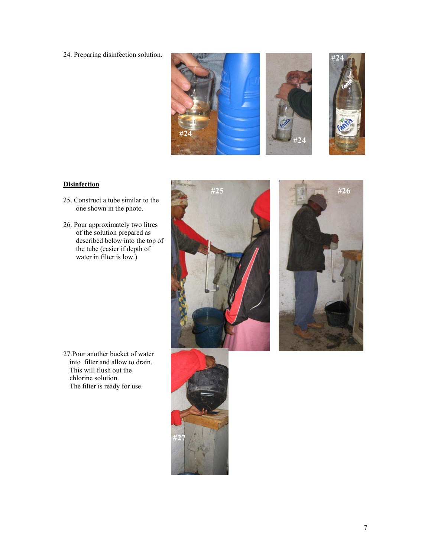24. Preparing disinfection solution.







### **Disinfection**

- 25. Construct a tube similar to the one shown in the photo.
- 26. Pour approximately two litres of the solution prepared as described below into the top of the tube (easier if depth of water in filter is low.)





27.Pour another bucket of water into filter and allow to drain. This will flush out the chlorine solution. The filter is ready for use.

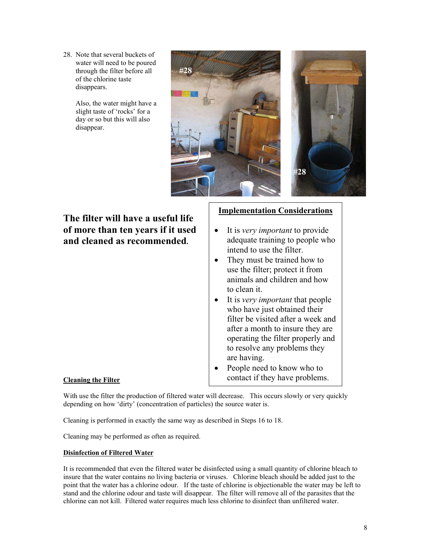28. Note that several buckets of water will need to be poured through the filter before all of the chlorine taste disappears.

> Also, the water might have a slight taste of 'rocks' for a day or so but this will also disappear.



## **The filter will have a useful life of more than ten years if it used and cleaned as recommended.**

## **Implementation Considerations**

- It is *very important* to provide adequate training to people who intend to use the filter.
- They must be trained how to use the filter; protect it from animals and children and how to clean it.
- It is *very important* that people who have just obtained their filter be visited after a week and after a month to insure they are operating the filter properly and to resolve any problems they are having.
- People need to know who to contact if they have problems.

### **Cleaning the Filter**

With use the filter the production of filtered water will decrease. This occurs slowly or very quickly depending on how 'dirty' (concentration of particles) the source water is.

Cleaning is performed in exactly the same way as described in Steps 16 to 18.

Cleaning may be performed as often as required.

#### **Disinfection of Filtered Water**

It is recommended that even the filtered water be disinfected using a small quantity of chlorine bleach to insure that the water contains no living bacteria or viruses. Chlorine bleach should be added just to the point that the water has a chlorine odour. If the taste of chlorine is objectionable the water may be left to stand and the chlorine odour and taste will disappear. The filter will remove all of the parasites that the chlorine can not kill. Filtered water requires much less chlorine to disinfect than unfiltered water.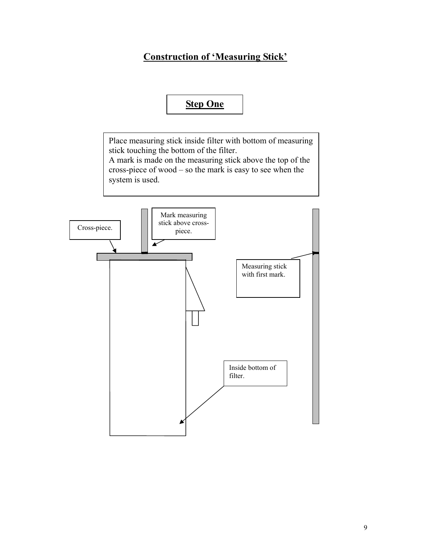# **Construction of 'Measuring Stick'**

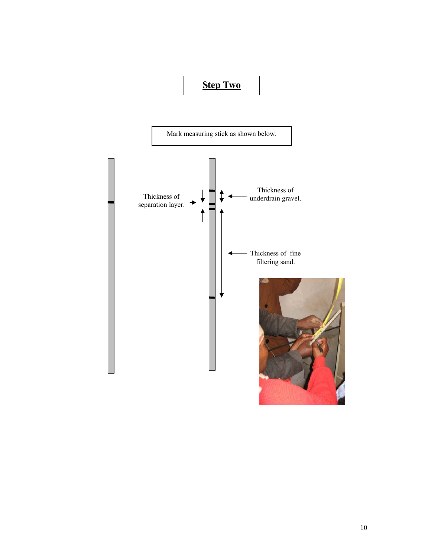# **Step Two**